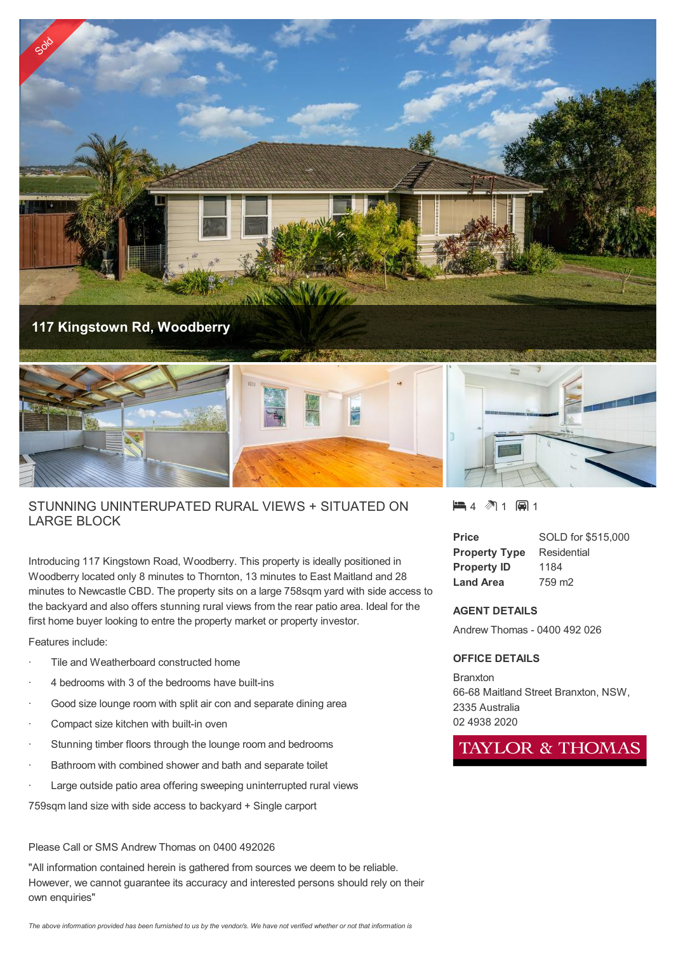

## STUNNING UNINTERUPATED RURAL VIEWS + SITUATED ON LARGE BLOCK

Introducing 117 Kingstown Road, Woodberry. This property is ideally positioned in Woodberry located only 8 minutes to Thornton, 13 minutes to East Maitland and 28 minutes to Newcastle CBD. The property sits on a large 758sqm yard with side access to the backyard and also offers stunning rural views from the rear patio area. Ideal for the first home buyer looking to entre the property market or property investor.

Features include:

- Tile and Weatherboard constructed home
- 4 bedrooms with 3 of the bedrooms have built-ins
- Good size lounge room with split air con and separate dining area
- Compact size kitchen with built-in oven
- Stunning timber floors through the lounge room and bedrooms
- Bathroom with combined shower and bath and separate toilet
- Large outside patio area offering sweeping uninterrupted rural views

759sqm land size with side access to backyard + Single carport

## Please Call or SMS Andrew Thomas on 0400 492026

"All information contained herein is gathered from sources we deem to be reliable. However, we cannot guarantee its accuracy and interested persons should rely on their own enquiries"

 $\blacksquare$  4  $\spadesuit$  1  $\blacksquare$  1

| <b>Price</b>         | SOLD for \$515,000 |
|----------------------|--------------------|
| <b>Property Type</b> | Residential        |
| <b>Property ID</b>   | 1184               |
| <b>Land Area</b>     | 759 m <sub>2</sub> |

## **AGENT DETAILS**

Andrew Thomas - 0400 492 026

## **OFFICE DETAILS**

**Branxton** 66-68 Maitland Street Branxton, NSW, 2335 Australia 02 4938 2020